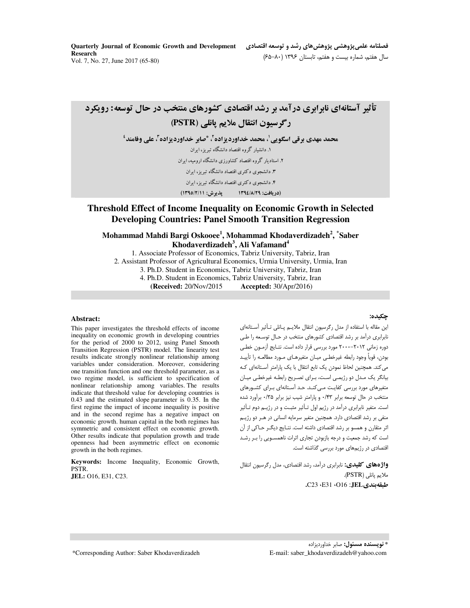Quarterly Journal of Economic Growth and Development **Research** Vol. 7, No. 27, June 2017 (65-80)

فصلنامه علمي پژوهشي پژوهش هاي رشد و توسعه اقتصادي سال هفتم، شماره بیست و هفتم، تابستان ۱۳۹۶ (۸۰–۶۵)

تأثیر آستانهای نابرابری درآمد بر رشد اقتصادی کشورهای منتخب در حال توسعه: رویکرد رگرسیون انتقال ملایم یانلی (PSTR) محمد مهدي برقي اسگويي'، محمد خداورديزاده'، \*صابر خداورديزاده'، على وفامند' ۱. دانشبار گروه اقتصاد دانشگاه تیریز، ایران ۲. استاد بار گروه اقتصاد کشاورزی دانشگاه ارومیه، ایران ۳. دانشجوی دکتری اقتصاد دانشگاه تبریز، ایران ۴. دانشجوی دکتری اقتصاد دانشگاه تبریز، ایران (در يافت: ١٣٩٤/٨/٢٩ - يذيرش: ١٣٩٥/٢/١١)

## Threshold Effect of Income Inequality on Economic Growth in Selected **Developing Countries: Panel Smooth Transition Regression**

Mohammad Mahdi Bargi Oskooee<sup>1</sup>, Mohammad Khodaverdizadeh<sup>2</sup>, \*Saber Khodaverdizadeh<sup>3</sup>, Ali Vafamand<sup>4</sup>

1. Associate Professor of Economics, Tabriz University, Tabriz, Iran 2. Assistant Professor of Agricultural Economics, Urmia University, Urmia, Iran 3. Ph.D. Student in Economics, Tabriz University, Tabriz, Iran 4. Ph.D. Student in Economics, Tabriz University, Tabriz, Iran (Received: 20/Nov/2015) **Accepted:** 30/Apr/2016)

#### Abstract:

This paper investigates the threshold effects of income inequality on economic growth in developing countries for the period of 2000 to 2012, using Panel Smooth Transition Regression (PSTR) model. The linearity test results indicate strongly nonlinear relationship among variables under consideration. Moreover, considering one transition function and one threshold parameter, as a two regime model, is sufficient to specification of nonlinear relationship among variables. The results indicate that threshold value for developing countries is  $0.43$  and the estimated slope parameter is  $0.35$ . In the first regime the impact of income inequality is positive and in the second regime has a negative impact on economic growth. human capital in the both regimes has symmetric and consistent effect on economic growth. Other results indicate that population growth and trade openness had been asymmetric effect on economic growth in the both regimes.

Keywords: Income Inequality, Economic Growth, PSTR. JEL: 016, E31, C23.

#### حكيده:

این مقاله با استفاده از مدل رگرسیون انتقال ملایـم یـانلی تـأثیر آسـتانهای .<br>نابرابری درآمد بر رشد اقتصادی کشورهای منتخب در حـال توسـعه را ط*ـی* دوره زمانی ٢٠١٢–٢٠٠٠ مورد بررسی قرار داده است. نتـایج آزمـون خطـی بودن، قوياً وجود رابطه غيرخطـي ميـان متغيرهـاي مـورد مطالعـه را تأييـد می کند. همچنین لحاظ نمودن یک تابع انتقال با یک پارامتر آستانهای کـه بیانگر یک مـدل دو رژیمـی اسـت، بـرای تصـریح رابطـه غیرخطـی میـان متغیرهای مورد بررسی کفایت مے کنـد. حـد آسـتانهای بـرای کشـورهای منتخب در حال توسعه برابر ۰/۴۳ و پارامتر شیب نیز برابر ۰/۳۵ برآورد شده است. متغیر نابرابری درآمد در رژیم اول تـأثیر مثبـت و در رژیـم دوم تـأثیر .<br>منفی بر رشد اقتصادی دارد. همچنین متغیر سرمایه انسانی در هــر دو رژیــم اثر متقارن و همسو بر رشد اقتصادی داشته است. نتـایج دیگـر حـاکی از آن است که رشد جمعیت و درجه بازبودن تجاری اثرات ناهمسـویی را بـر رشـد اقتصادی در رژیمهای مورد بررسی گذاشته است.

واژههای کلیدی: نابرابری درآمد، رشد اقتصادی، مدل رگرسیون انتقال ملايم يانلي (PSTR). طبقه بندى JEL: O16، E31، C23.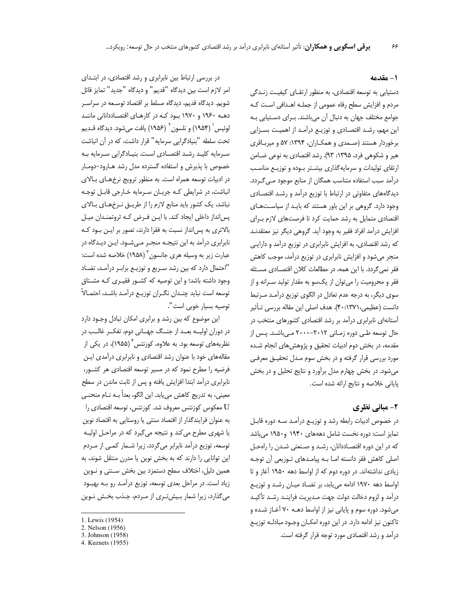### 1- مقدمه

دستیابی به توسعه اقتصادی، به منظور ارتقای کیفیت زنـدگی مردم و افزایش سطح رفاه عمومی از جملـه اهـدافی اسـت کـه جوامع مختلف جهان به دنبال آن می باشند. بـرای دستیابی بـه این مهم، رشد اقتصادی و توزیـع درآمـد از اهمیـت بسـزایی برخوردار هستند (صـمدی و همکـاران، ۱۳۹۴: ۵۷ و میربـاقری هیر و شکوهی فرد، ۱۳۹۵: ۹۳). رشد اقتصادی به نوعی ضـامن ارتقای تولیدات و سرمایه گذاری بیشتر بوده و توزیـع مناسـب درآمد سبب استفاده متناسب همگان از منابع موجود مـی گـردد. دیدگاههای متفاوتی در ارتباط با توزیع درآمد و رشـد اقتصـادی وجود دارد. گروهی بر این باور هستند که بایـد از سیاسـتهـای اقتصادی متمایل به رشد حمایت کرد تا فرصتهای لازم برای افزایش درآمد افراد فقیر به وجود آید. گروهی دیگر نیز معتقدنـد که رشد اقتصادی، به افزایش نابرابری در توزیع درآمد و دارایی منجر میشود و افزایش نابرابری در توزیع درآمد، موجب کاهش فقر نمی گردد. با این همه، در مطالعات کلان اقتصـادی مسـئله فقر و محرومیت را میتوان از یکسو به مقدار تولید سـرانه و از سوی دیگر، به درجه عدم تعادل در الگوی توزیع درآمـد مـرتبط دانست (عظیمی، ۴۰:۱۳۷۱). هدف اصلی این مقاله بررسی تأثیر آستانهای نابرابری درآمد بر رشد اقتصادی کشورهای منتخب در حال توسعه طـى دوره زمـانى ٢٠١٢-٢٠٠٠ مـىباشـد. پـس از مقدمه، در بخش دوم ادبیات تحقیق و پژوهش های انجام شده مورد بررسی قرار گرفته و در بخش سوم مـدل تحقیـق معرفـی می شود. در بخش چهارم مدل برآورد و نتایج تحلیل و در بخش پایانی خلاصه و نتایج ارائه شده است.

## ۲- مبانی نظری

در خصوص ادبیات رابطه رشد و توزیـع درآمـد سـه دوره قابـل تمایز است: دوره نخست شامل دهههای ۱۹۴۰ و۱۹۵۰ میباشد که در این دوره اقتصاددانان، رشد و صنعتی شدن را راهحل اصلی کاهش فقر دانسته امـا بـه پیامـدهای تـوزیعی آن توجـه زیادی نداشتهاند. در دوره دوم که از اواسط دهه ۱۹۵۰ آغاز و تا اواسط دهه ۱۹۷۰ ادامه می یابد، بر تضاد میان رشد و توزیع درآمد و لزوم دخالت دولت جهت مـديريت فراينـد رشـد تأكيـد می شود. دوره سوم و پایانی نیز از اواسط دهـه ۷۰ آغـاز شـده و تاکنون نیز ادامه دارد. در این دوره امکـان وجـود مبادلـه توزیـع درآمد و رشد اقتصادی مورد توجه قرار گرفته است.

در بررسی ارتباط بین نابرابری و رشد اقتصادی، در ابتـدای امر لازم است بين ديدگاه "قديم" و ديدگاه "جديد" تمايز قائل شويم. ديدگاه قديم، ديدگاه مسلط بر اقتصاد توسـعه در سراسـر دهـه ۱۹۶۰ و ۱۹۷۰ بـود کـه در کارهـای اقتصـاددانانی ماننـد لوئيس (١٩۵۴) و نلسون <sup>٦</sup> (١٩۵۶) يافت ميشود. ديدگاه قــديم تحت سلطه "بنیادگرایی سرمایه" قرار داشت، که در آن انباشت سرمايه كليد رشد اقتصادي است. بنيادگرايي سرمايه به خصوص با پذیرش و استفاده گسترده مدل رشد هـارود–دومـار در ادبیات توسعه همراه است. به منظور ترویج نرخهای بالای انباشت، در شرایطی کـه جریـان سـرمایه خـارجی قابـل توجـه نباشد، یک کشور باید منابع لازم را از طریـق نـرخهـای بـالای پسانداز داخلی ایجاد کند. با ایـن فـرض کـه ثروتمنـدان میـل بالاتری به پسانداز نسبت به فقرا دارند، تصور بر ایـن بـود کـه نابرابری درآمد به این نتیجـه منجـر مـیشـود. ایـن دیـدگاه در عبارت زیر به وسیله هری جانسون<sup>۳</sup> (۱۹۵۸) خلاصه شده است: "احتمال دارد که بین رشد سـریع و توزیـع برابـر درآمـد، تضـاد وجود داشته باشد؛ و این توصیه که کشـور فقیـری کـه مشـتاق توسعه است نبايد چنـدان نگـران توزيـع درآمـد باشـد، احتمـالاً توصيه بسيار خوبي است".

این موضوع که بین رشد و برابری امکان تبادل وجـود دارد در دوران اولیــه بعــد از جنــگ جهــانی دوم، تفکــر غالــب در نظریههای توسعه بود. به علاوه، کوزنتس ٌ (۱۹۵۵)، در یکی از مقالههای خود با عنوان رشد اقتصادی و نابرابری درآمدی ایـن فرضیه را مطرح نمود که در مسیر توسعه اقتصادی هر کشـور، نابرابری درآمد ابتدا افزایش یافته و پس از ثابت ماندن در سطح معینی، به تدریج کاهش میبابد. این الگو، بعداً بــه نــام منحنــی معکوس کوزنتس معروف شد. کوزنتس، توسعه اقتصادی را  ${\rm U}$ به عنوان فرایندگذار از اقتصاد سنتی یا روستایی به اقتصاد نوین یا شهری مطرح می کند و نتیجه می گیرد که در مراحل اولیـه توسعه، توزیع درآمد نابرابر میگردد، زیرا شمار کمی از مردم این توانایی را دارند که به بخش نوین یا مدرن منتقل شوند، به همین دلیل، اختلاف سطح دستمزد بین بخش سـنتی و نـوین زیاد است. در مراحل بعدی توسعه، توزیع درآمـد رو بـه بهبـود می گذارد، زیرا شمار بیش تری از مـردم، جـذب بخـش نـوین

<sup>1.</sup> Lewis (1954)

<sup>2.</sup> Nelson (1956)

<sup>3.</sup> Johnson (1958)

<sup>4.</sup> Kuznets (1955)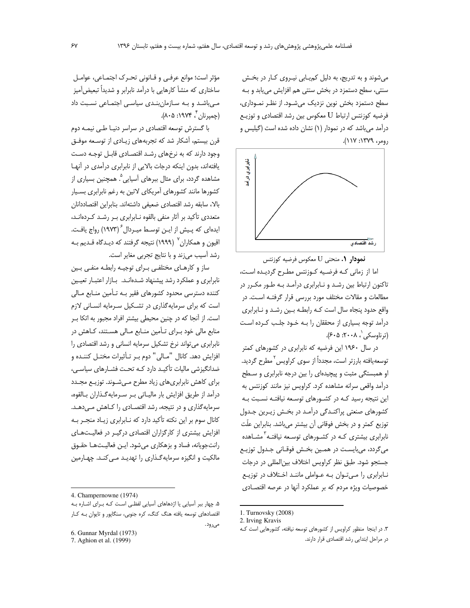می شوند و به تدریج، به دلیل کمپایی نیروی کار در بخش سنتی، سطح دستمزد در بخش سنتی هم افزایش می یابد و بـه سطح دستمزد بخش نوین نزدیک می شـود. از نظـر نمـوداری، فرضیه کوزنتس ارتباط U معکوس بین رشد اقتصادی و توزیـع درآمد میباشد که در نمودار (۱) نشان داده شده است (گیلیس و  $(11Y:1YY9, p_{01}, p_{12})$ 



نمودار ٠. منحنى U معكوس فرضيه كوزنتس اما از زمانی کـه فرضـیه کـوزنتس مطـرح گردیـده اسـت، تاکنون ارتباط بین رشد و نـابرابری درآمـد بـه طـور مکـرر در مطالعات و مقالات مختلف مورد بررسی قرار گرفتـه اسـت. در واقع حدود پنجاه سال است کـه رابطـه بـين رشـد و نـابرابري درآمد توجه بسیاری از محققان را بـه خـود جلـب کـرده اسـت (ترناوسکی`، ۲۰۰۸: ۶۰۵).

در سال ۱۹۶۰ این فرضیه که نابرابری در کشورهای کمتر توسعهیافته بارزتر است، مجدداً از سوی کراویس<sup>٬</sup> مطرح گردید. او همبستگی مثبت و پیچیدهای را بین درجه نابرابری و سطح درآمد واقعی سرانه مشاهده کرد. کراویس نیز مانند کوزنتس به این نتیجه رسید کـه در کشـورهای توسـعه نیافتـه نسـبت بـه کشورهای صنعتی پراکنـدگی درآمـد در بخـش زیـرین جـدول توزیع کمتر و در بخش فوقانی آن بیشتر میباشد. بنابراین علّت نابرابری بیشتری کـه در کشـورهای توسـعه نیافتـه <sup>۳</sup>مشـاهده میگردد، میبایست در همین بخش فوقـانی جـدول توزیـع جستجو شود. طبق نظر كراويس اختلاف بين المللي در درجات نابرابری را میتوان به عواملی مانند اختلاف در توزیع خصوصیات ویژه مردم که بر عملکرد آنها در عرصه اقتصـادی

مؤثر است؛ موانع عرفـي و قـانوني تحـرک اجتمـاعي، عوامـل ساختاری که منشأ کارهایی با درآمد نابرابر و شدیداً تبعیض[میز می باشد و به سازمان بندی سیاسی اجتماعی نسبت داد (چمپرنان ٌ، ۱۹۷۴: ۸۰۵).

با گسترش توسعه اقتصادی در سراسر دنیا طی نیمـه دوم قرن بیستم، آشکار شد که تجربههای زیـادی از توسـعه موفـق وجود دارند که به نرخهای رشد اقتصادی قابل توجه دست یافتهاند، بدون اینکه درجات بالایی از نابرابری درآمدی در آنها مشاهده گردد، برای مثال ببرهای آسیایی ْ. همچنین بسیاری از کشورها مانند کشورهای آمریکای لاتین به رغم نابرابری بسـیار بالا، سابقه رشد اقتصادى ضعيفى داشتهاند. بنابراين اقتصاددانان متعددی تأکید بر آثار منفی بالقوه نـابرابری بـر رشـد کـردهانـد، ایدهای که پـیش از ایـن توسـط میـردال ۲۹۷۳) رواج یافـت. اقیون و همکاران<sup>٬ (</sup> ۱۹۹۹) نتیجه گرفتند که دیـدگاه قـدیم بـه رشد آسیب میزند و با نتایج تجربی مغایر است.

ساز و کارهای مختلفی برای توجیه رابطه منفی بین نابرابری و عملکرد رشد پیشنهاد شـدهانـد. بـازار اعتبـار تعیـین کننده دسترسی محدود کشورهای فقیر بـه تـأمین منـابع مـالی است که برای سرمایهگذاری در تشکیل سرمایه انسانی لازم است. از آنجا که در چنین محیطی بیشتر افراد مجبور به اتکا ب منابع مالی خود بهرای تأمین منابع مالی هستند، کاهش در نابرابری می تواند نرخ تشکیل سرمایه انسانی و رشد اقتصادی را افزایش دهد. کانال "مـالی" دوم بـر تـأثیرات مختـل کننـده و ضدانگیزشی مالیات تأکیـد دارد کـه تحـت فشـارهای سیاسـی، برای کاهش نابرابری های زیاد مطرح مهی شوند. توزیع مجدد درآمد از طریق افزایش بار مالیـاتی بـر سـرمایهگـذاران بـالقوه، سرمایهگذاری و در نتیجه، رشد اقتصادی را کاهش میدهد. کانال سوم بر این نکته تأکید دارد که نـابرابری زیـاد منجـر بـه افزایش بیشتری از کارگزاران اقتصادی درگیـر در فعالیـتهـای رانتجویانه، فساد و بزهکاری میشود. ایـن فعالیـتهـا حقـوق مالکیت و انگیزه سرمایه گذاری را تهدیـد مـی کنـد. چهـارمین

<sup>1.</sup> Turnovsky (2008)

<sup>2.</sup> Irving Kravis

٣. در اینجا منظور کراویس از کشورهای توسعه نیافته، کشورهایی است ک در مراحل ابتدایی رشد اقتصادی قرار دارند.

<sup>4.</sup> Champernowne (1974)

۵. چهار ببر آسیایی یا اژدهاهای آسیایی لفظی است کـه بـرای اشـاره بـه اقتصادهای توسعه یافته هنگ کنگ، کره جنوبی، سنگاپور و تایوان به کار

مى رود.

<sup>6.</sup> Gunnar Myrdal (1973)

<sup>7.</sup> Aghion et al. (1999)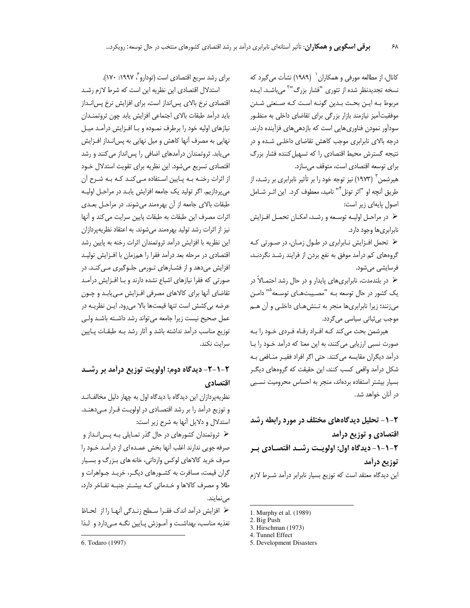کانال، از مطالعه مورفی و همکاران <sup>۱</sup> (۱۹۸۹) نشأت می *گ*یرد که نسخه تجدیدنظر شده از تئوری "فشار بزرگ"<sup>۲</sup> میباشـد. ایـده مربوط بـه ايـن بحـث بـدين گونـه اسـت كـه صـنعتى شـدن موفقیتآمیز نیازمند بازار بزرگی برای تقاضای داخلی به منظـور سودآور نمودن فناوری هایی است که بازدهی های فزآینده دارند. درجه بالای نابرابری موجب کاهش تقاضای داخلی شده و در نتیجه گسترش محیط اقتصادی را که تسهیل کننده فشار بزرگ برای توسعه اقتصادی است، متوقف می سازد.

هیرشمن <sup>۳</sup> (۱۹۷۳) نیز توجه خود را بر تأثیر نابرابری بر رشـد، از طريق آنچه او "اثر تونل"" ناميد، معطوف كرد. اين اثـر شــامل اصول يايهاى زير است:

﴿ در مراحل اولیـه توسـعه و رشـد، امکـان تحمـل افـزایش نابرابري ها وجود دارد.

﴿ تحمل افـزايش نـابرابري در طـول زمـان، در صـورتي كـه گروههای کم درآمد موفق به نفع بردن از فرایند رشـد نگردنـد، فرسایشی میشود.

≺ در بلندمدت، نابرابریهای پایدار و در حال رشد احتمـالاً در یک کشور در حال توسعه بـه "مصـیبتهـای توسـعه<sup>٥</sup>" دامـن میزنند؛ زیرا نابرابریها منجر به تـنشهـای داخلـی و آن هـم موجب بي ثباتي سياسي مي گردد.

هیرشمن بحث می کند کـه افـراد رفـاه فـردي خـود را بـه صورت نسبی ارزیابی میکنند، به این معنا که درآمد خـود را بـا درآمد دیگران مقایسه می کنند. حتی اگر افراد فقیـر منـافعی بـه شکل درآمد واقعی کسب کنند، این حقیقت که گروههای دیگـر بسیار بیشتر استفاده بردهاند، منجر به احساس محرومیت نسبی در آنان خواهد شد.

۲-۱- تحلیل دیدگاههای مختلف در مورد رابطه رشد اقتصادی و توزیع درأمد ۲-۱-۱- دیدگاه اول: اولویـت , شـد اقتصـادی بـر تو; یع درآمد این دیدگاه معتقد است که توزیع بسیار نابرابر درآمد شـرط لازم

برای رشد سریع اقتصادی است (تودارو<sup>م</sup> ۱۹۹۷: ۱۷۰).

استدلال اقتصادی این نظریه این است که شرط لازم رشـد اقتصادی نرخ بالای پس انداز است، برای افزایش نرخ پس انــداز بايد درآمد طبقات بالاى اجتماعي افزايش يابد چون ثروتمنـدان نیازهای اولیه خود را برطرف نمـوده و بـا افـزایش درآمـد میـل نهایی به مصرف آنها کاهش و میل نهایی به پس|نـداز افـزایش می یابد. ثروتمندان درآمدهای اضافی را پس انداز می کنند و رشد اقتصادی تسریع میشود. این نظریه برای تقویت استدلال خـود از اثرات رخنـه بـه پـایین اسـتفاده مـی کنـد کـه بـه شـرح آن می پردازیم. اگر تولید یک جامعه افزایش یابـد در مراحـل اولیـه طبقات بالای جامعه از آن بهرهمند میشوند. در مراحل بعدی اثرات مصرف این طبقات به طبقات پایین سرایت می کند و آنها نیز از اثرات رشد تولید بهرهمند میشوند. به اعتقاد نظریهپردازان این نظریه با افزایش درآمد ثروتمندان اثرات رخنه به پایین رشد اقتصادی در مرحله بعد درآمد فقرا را همزمان با افـزايش توليـد افزایش میدهد و از فشارهای تورمی جلوگیری می کند. در صورتی که فقرا نیازهای اشباع نشده دارند و بـا افـزایش درآمـد تقاضای آنها برای کالاهای مصرفی افزایش می یابد و چون عرضه بي كشش است تنها قيمتها بالا مي رود. ايـن نظريـه در عمل صحيح نيست زيرا جامعه مي تواند رشد داشـته باشـد ولـى توزیع مناسب درآمد نداشته باشد و آثار رشد بـه طبقـات پـایین سرايت نكند.

# ۲-۱-۲- دیدگاه دوم: اولویت توزیع درآمد بر رشـد اقتصادي

نظریهپردازان این دیدگاه با دیدگاه اول به چهار دلیل مخالفانـد و توزیع درآمد را بر رشد اقتصادی در اولویت قـرار مـیدهنـد. استدلال و دلایل آنها به شرح زیر است:

﴿ ثروتمندان كشورهاى در حال گذر تمـايلي بـه پـس|نـداز و صرفه جويي ندارند اغلب آنها بخش عمـده اي از درآمـد خـود را صرف خرید کالاهای لوکس وارداتی، خانه های بـزرگ و بسـیار گران قیمت، مسافرت به کشـورهای دیگـر، خریـد جـواهرات و طلا و مصرف كالاها و خدماتي كـه بيشـتر جنبـه تفـاخر دارد، مے نمایند.

﴿ افزايش درآمد اندك فقـرا سـطح زنـدگي آنهـا را از لحـاظ تغذیه مناسب، بهداشت و آمـوزش پـایین نگـه مـیدارد و لـذا

<sup>1.</sup> Murphy et al. (1989)

<sup>2.</sup> Big Push

<sup>3.</sup> Hirschman (1973)

<sup>4.</sup> Tunnel Effect

<sup>5.</sup> Development Disasters

<sup>6.</sup> Todaro (1997)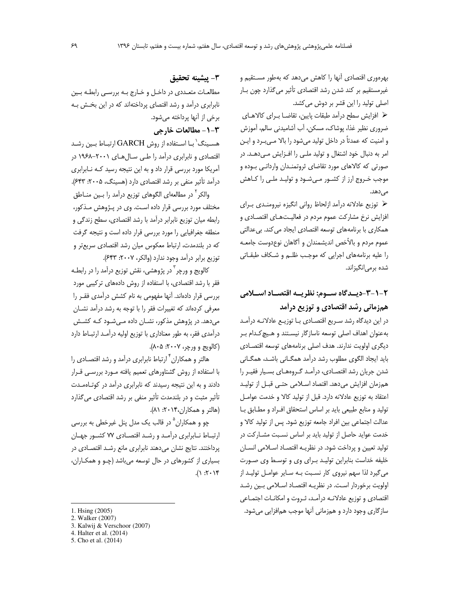بهرهوری اقتصادی آنها را کاهش میدهد که بهطور مستقیم و غیرمستقیم بر کند شدن رشد اقتصادی تأثیر می گذارد چون بـار اصلی تولید را این قشر بر دوش می کشد.

﴿ افزایش سطح درآمد طبقات پایین، تقاضـا بـرای کالاهـای ضروري نظير غذا، پوشاک، مسکن، آب آشاميدني سالم، آموزش و امنیت که عمدتاً در داخل تولید میشود را بالا مـیبـرد و ایـن امر به دنبال خود اشتغال و تولید ملبی را افزایش مبیدهد. در صورتی که کالاهای مورد تقاضای ثروتمنـدان وارداتـی بـوده و موجب خـروج ارز از کشـور مـیشـود و تولیـد ملـی را کـاهش مے ,دھد.

﴿ توزيع عادلانه درآمد ازلحاظ رواني انكيزه نيرومنـدي بـراي افزایش نرخ مشارکت عموم مردم در فعالیتهای اقتصـادی و همکاری با برنامههای توسعه اقتصادی ایجاد می کند. بی عدالتی عموم مردم و بالأخص انديشمندان و آگاهان نوعدوست جامعـه را عليه برنامههاى اجرايى كه موجب ظلـم و شـكاف طبقـاتى شده برمی|نگیزاند.

# ۲-۱-۳-دیــدگاه ســوم: نظریــه اقتصــاد اســـلامی همزمانی رشد اقتصادی و توزیع درآمد

در این دیدگاه رشد سریع اقتصادی با توزیـع عادلانـه درآمـد به عنوان اهداف اصلی توسعه ناسازگار نیستند و هیچ کدام ب دیگری اولویت ندارند. هدف اصلی برنامههای توسعه اقتصادی باید ایجاد الگوی مطلوب رشد درآمد همگـانی باشـد، همگـانی شدن جریان رشد اقتصادی، درآمد گروههای بسیار فقیـر را همزمان افزایش میدهد. اقتصاد اسلامی حتبی قبل از تولید اعتقاد به توزيع عادلانه دارد. قبل از توليد كالا و خدمت عوامـل تولید و منابع طبیعی باید بر اساس استحقاق افراد و مطابق با عدالت اجتماعي بين افراد جامعه توزيع شود. پس از توليد كالا و خدمت عواید حاصل از تولید باید بر اساس نسبت مشارکت در تولید تعیین و پرداخت شود. در نظریـه اقتصـاد اسـلامی انسـان خلیفه خداست بنابراین تولید برای وی و توسط وی صورت می گیرد لذا سهم نیروی کار نسبت بـه سـایر عوامـل تولیـد از اولويت برخوردار است. در نظريـه اقتصـاد اسـلامى بـين رشـد اقتصادي و توزيع عادلانـه درآمـد، ثـروت و امكانـات اجتمـاعي سازگاری وجود دارد و همزمانی آنها موجب همافزایی میشود.

# ٣- ييشينه تحقيق

مطالعـات متعـددي در داخـل و خـارج بـه بررسـي رابطـه بـين نابرابری درآمد و رشد اقتصای پرداختهاند که در این بخش به برخي از آنها پرداخته مي شود.

# **٣-١- مطالعات خارجي**

هسـينگ'بـا اسـتفاده از روش GARCH ارتبـاط بـين رشـد اقتصادی و نابرابری درآمد را طبی سـالهـای ۲۰۰۱–۱۹۶۸ در آمریکا مورد بررسی قرار داد و به این نتیجه رسید کـه نـابرابری درآمد تأثیر منفی بر رشد اقتصادی دارد (هسپنگ، ۲۰۰۵: ۶۴۳).

والكر<sup>۲</sup> در مطالعه|ى الگوهاى توزيع درآمد را بـين منــاطق مختلف مورد بررسی قرار داده است. وی در پـژوهش مـذکور، رابطه میان توزیع نابرابر درآمد با رشد اقتصادی، سطح زندگی و منطقه جغرافیایی را مورد بررسی قرار داده است و نتیجه گرفت که در بلندمدت، ارتباط معکوس میان رشد اقتصادی سریعتر و توزيع برابر درآمد وجود ندارد (والكر، ٢٠٠٧: ٤۴٣).

کالویج و ورچر<sup>۳</sup> در پژوهشی، نقش توزیع درآمد را در رابطـه فقر با رشد اقتصادی، با استفاده از روش دادههای ترکیبی مورد بررسی قرار دادهاند. آنها مفهومی به نام کشش درآمدی فقـر را معرفی کردهاند که تغییرات فقر را با توجه به رشد درآمد نشــان می دهد. در پژوهش مذکور، نشـان داده مـی شـود کـه کشـش درآمدی فقر، به طور معناداری با توزیع اولیه درآمـد ارتبـاط دارد (کالويج و ورچر، ٢٠٠٧: ٨٠۵).

هالتر و همکاران <sup>۲</sup> ارتباط نابرابری درآمد و رشد اقتصـادی را با استفاده از روش گشتاورهای تعمیم یافته مورد بررسی قرار دادند و به این نتیجه رسیدند که نابرابری درآمد در کوتاهمـدت تأثیر مثبت و در بلندمدت تأثیر منفی بر رشد اقتصادی میگذارد (هالتر و همکاران،۲۰۱۴: ۸۱).

چو و همکاران <sup>۵</sup> در قالب یک مدل پنل غیرخطی به بررسی ارتبـاط نـابرابري درآمـد و رشـد اقتصـادي ٧٧ كشـور جهـان پرداختند. نتایج نشان میدهند نابرابری مانع رشد اقتصادی در بسیاری از کشورهای در حال توسعه میباشد (چـو و همکـاران،  $(1.7.1)$ 

<sup>1.</sup> Hsing (2005)

<sup>2.</sup> Walker (2007)

<sup>3.</sup> Kalwij & Verschoor (2007)

<sup>4.</sup> Halter et al. (2014)

<sup>5.</sup> Cho et al. (2014)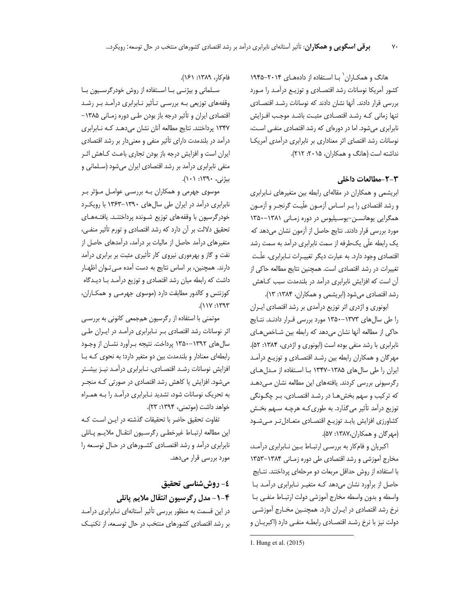هانگ و همکـاران` بـا اسـتفاده از دادههـای ۲۰۱۴–۱۹۴۵ كشور آمريكا نوسانات رشد اقتصادى و توزيـع درآمـد را مـورد بررسی قرار دادند. آنها نشان دادند که نوسانات رشـد اقتصـادی تنها زمانی کـه رشـد اقتصـادی مثبـت باشـد موجـب افـزایش نابرابری میشود. اما در دورهای که رشد اقتصادی منفـی اسـت، نوسانات رشد اقتصاى اثر معنادارى بر نابرابرى درآمدى آمريكا نداشته است (هانگ و همکاران، ۲۰۱۵: ۲۱۲).

## **A B:2 3-2-**

ابریشمی و همکاران در مقالهای رابطه بین متغیرهای نـابرابری و رشد اقتصادي را بـر اسـاس آزمــون علّيـت گرنجــر و آزمــون همگرایی یوهانسـن-یوسـیلیوس در دوره زمـانی ۱۳۸۱-۱۳۵۰ مورد بررسی قرار دادند. نتایج حاصل از آزمون نشان میدهد که یک رابطه علّی یکطرفه از سمت نابرابری درآمد به سمت رشد اقتصادي وجود دارد. به عبارت ديگر تغييـرات نــابرابري، علّـت تغییرات در رشد اقتصادی است. همچنین نتایج مطالعه حاکی از آن است که افزایش نابرابری درآمد در بلندمدت سبب کاهش  $\overline{1}$ رشد اقتصادی میشود (ابریشمی و همکاران، ۱۳۸۴: ۱۳).

ابونوری و اژدری اثر توزیع درآمدی بر رشد اقتصادی ایــران را طی سالهای ۱۳۷۳-۱۳۵۰ مورد بررسی قـرار دادنـد. نتـایج حاکی از مطالعه آنها نشان میدهد که رابطه بین شـاخصهـای نابرابری با رشد منفی بوده است (ابونوری و اژدری، ۱۳۸۴: ۵۲). مهرگان و همکاران رابطه بین رشـد اقتصـادی و توزیـع درآمـد ایران را طی سال های ۱۳۸۵-۱۳۴۷ با استفاده از مدل های رگرسیونی بررسی کردند. یافتههای این مطالعه نشان مـیدهـد که ترکیب و سهم بخشهـا در رشـد اقتصـادی، بـر چگـونگی توزیع درآمد تأثیر میگذارد. به طوری کـه هرچـه سـهم بخـش كشاورزي افزايش يابـد توزيـع اقتصـادي متعـادلتـر مـىشـود (مهرگان و همکاران،۱۳۸۷: ۵۷).

اکبریان و فامکار به بررسی ارتبـاط بـین نـابرابری درآمـد، مخارج آموزشی و رشد اقتصادی طی دوره زمـانی ۱۳۸۴–۱۳۵۳ با استفاده از روش حداقل مربعات دو مرحلهای پرداختند. نتـایج حاصل از برآورد نشان میدهد کـه متغیـر نـابرابری درآمـد بـا واسطه و بدون واسطه مخارج آموزشی دولت ارتبـاط منفـی بـا نرخ رشد اقتصادی در ایــران دارد. همچنــین مخــارج آموزشــی دولت نيز با نرخ رشـد اقتصـادي رابطـه منفـي دارد (اكبريـان و

-1. Hung et al. (2015)

فام كا, ، ١٣٨٩: ١۶١).

.<br>ن

سـلماني و بيژنــي بــا اســتفاده از روش خودرگرســيون بــا وقفههای توزیعی بـه بررسـی تـأثیر نـابرابری درآمـد بـر رشـد اقتصادی ایران و تأثیر درجه باز بودن طـی دوره زمـانی ۱۳۸۵– ۱۳۴۷ پرداختند. نتایج مطالعه آنان نشان میدهـد کـه نـابرابری درآمد در بلندمدت دارای تأثیر منفی و معنیدار بر رشد اقتصادی ایران است و افزایش درجه باز بودن تجاری باعـث کـاهش اثـر منفی نابرابری درآمد بر رشد اقتصادی ایران میشود (سـلمانی و بیژنی، ۱۳۹۰: ۱۰۱).

موسوی جهرمی و همکاران بـه بررسـی عوامـل مـؤثر بـر نابرابری درآمد در ایران طی سال های ۱۳۹۰-۱۳۶۳ با رویکرد خودرگرسیون با وقفههای توزیع شـونده پرداختنـد. یافتـههـای تحقیق دلالت بر آن دارد که رشد اقتصادی و تورم تأثیر منفـی، متغیرهای درآمد حاصل از مالیات بر درآمد، درآمدهای حاصل از نفت و گاز و بهرهوری نیروی کار تأثیری مثبت بر برابری درآمد دارند. همچنین، بر اساس نتایج به دست آمده مـی تـوان اظهـار داشت که رابطه میان رشد اقتصادی و توزیع درآمـد بـا دیـدگاه كوزنتس و كالدور مطابقت دارد (موسوى جهرمـى و همكـاران، :117.( 1393

موتمنی با استفاده از رگرسیون همجمعی کانونی به بررسـی اثر نوسانات رشد اقتصادى بـر نـابرابرى درآمـد در ايـران طـى سال های ۱۳۹۲–۱۳۵۰ پرداخت. نتیجه بـرآورد نشــان از وجـود رابطهای معنادار و بلندمدت بین دو متغیر دارد؛ به نحوی کـه بـا افزایش نوسانات رشد اقتصادی، نـابرابری درآمـد نیـز بیشـتر میشود. افزایش یا کاهش رشد اقتصادی در صورتی کـه منجـر به تحریک نوسانات شود، تشدید نـابرابری درآمـد را بـه همـراه خواهد داشت (موتمني، ۱۳۹۴: ۲۳).

تفاوت تحقيق حاضر با تحقيقات گذشته در ايـن اسـت كـه <u>;</u> اين مطالعه ارتبـاط غيرخطـي رگرسـيون انتقـال ملايـم پـانلي نابرابری درآمد و رشد اقتصادی کشورهای در حال توسعه را مورد بررسی قرار میدهد.

**٤- روششناسی تحقیق \$ ?#= D\$ (/&1 4-1-**  در این قسمت به منظور بررسی تأثیر آستانهای نـابرابری درآمـد بر رشد اقتصاد*ی* کشورهای منتخب در حال توسـعه، از تکنیـک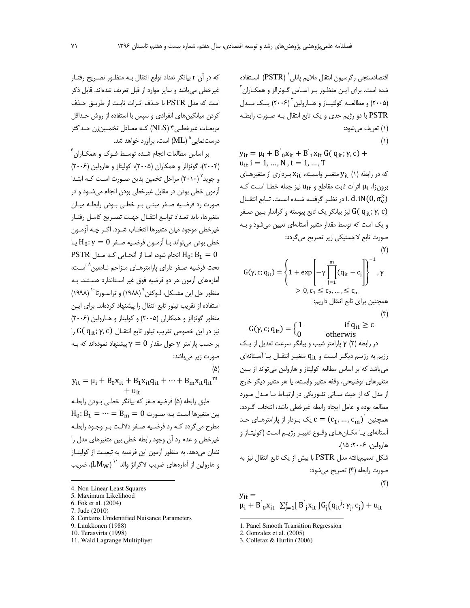اقتصادسنجی رگرسیون انتقال ملایم یانلی<sup>\</sup> (PSTR) اسـتفاده شده است. برای ایـن منظـور بـر اسـاس گـونزالز و همکـاران<sup>۲</sup> (۲۰۰۵) و مطالعــه کولتيــاز و هـــارولين<sup>۳</sup> (۲۰۰۶) يــک مــدل PSTR با دو رژیم حدی و یک تابع انتقال بـه صـورت رابطـه (۱) تعريف مي شود:  $(1)$ 

$$
y_{it} = μ_i + B^{'}_{0}x_{it} + B^{'}_{1}x_{it} G(q_{it}; γ, c) + u_{it} i = 1, ..., N, t = 1, ..., T
$$
  
\n
$$
U_{it} = 1, ..., N, t = 1, ..., T
$$
  
\n
$$
Z_{it} = \sum_{i=1}^{n} x_{it} \left(\frac{1}{\beta}\right) \left(\frac{1}{\beta}\right) \left(\frac{1}{\beta}\right) \left(\frac{1}{\beta}\right) \left(\frac{1}{\beta}\right) \left(\frac{1}{\beta}\right) \left(\frac{1}{\beta}\right) \left(\frac{1}{\beta}\right) \left(\frac{1}{\beta}\right) \left(\frac{1}{\beta}\right) \left(\frac{1}{\beta}\right) \left(\frac{1}{\beta}\right) \left(\frac{1}{\beta}\right) \left(\frac{1}{\beta}\right) \left(\frac{1}{\beta}\right) \left(\frac{1}{\beta}\right) \left(\frac{1}{\beta}\right) \left(\frac{1}{\beta}\right) \left(\frac{1}{\beta}\right) \left(\frac{1}{\beta}\right) \left(\frac{1}{\beta}\right) \left(\frac{1}{\beta}\right) \left(\frac{1}{\beta}\right) \left(\frac{1}{\beta}\right) \left(\frac{1}{\beta}\right) \left(\frac{1}{\beta}\right) \left(\frac{1}{\beta}\right) \left(\frac{1}{\beta}\right) \left(\frac{1}{\beta}\right) \left(\frac{1}{\beta}\right) \left(\frac{1}{\beta}\right) \left(\frac{1}{\beta}\right) \left(\frac{1}{\beta}\right) \left(\frac{1}{\beta}\right) \left(\frac{1}{\beta}\right) \left(\frac{1}{\beta}\right) \left(\frac{1}{\beta}\right) \left(\frac{1}{\beta}\right) \left(\frac{1}{\beta}\right) \left(\frac{1}{\beta}\right) \left(\frac{1}{\beta}\right) \left(\frac{1}{\beta}\right) \left(\frac{1}{\beta}\right) \left(\frac{1}{\beta}\right) \left(\frac{1}{\beta}\right) \left(\frac{1}{\beta}\right) \left(\frac{1}{\beta}\right) \left(\frac{1}{\beta}\right) \left(\frac{1}{\beta}\right) \left(\frac{1}{\beta}\right) \left(\frac{1}{\beta}\right) \left(\frac{1}{\beta}\right) \left(\frac{1}{\beta}\right) \left
$$

$$
G(\gamma, c; q_{it}) = \left\{ 1 + \exp\left[ -\gamma \prod_{j=1}^{m} (q_{it} - c_j) \right] \right\}^{-1}, \gamma
$$
  
> 0,  $c_1 \le c_2, ..., \le c_m$   

$$
\vdots
$$

 $(\tilde{r})$ 

if  $q_{it} \geq c$  $G(\gamma, c; q_{it}) = \begin{cases} 1 \\ 0 \end{cases}$ otherwis

در رابطه (۲)  $\gamma$  پارامتر شیب و بیانگر سرعت تعدیل از یک رژیم به رژیم دیگر است و qit متغیر انتقال یا آستانهای می باشد که بر اساس مطالعه کولیتاز و هارولین می تواند از بـین متغيرهاي توضيحي، وقفه متغير وابسته، يا هر متغير ديگر خارج از مدل که از حیث مبـانی تئـوریکی در ارتبـاط بـا مـدل مـورد مطالعه بوده و عامل ایجاد رابطه غیرخطی باشد، انتخاب گـردد.  $c = (c_1, ..., c_m)^{'}$  همچنین  $c = (c_1, ..., c_m)^{'}$ أستانهاي يـا مكـانهـاي وقـوع تغييـر رژيـم اسـت (كوليتـاز و هارولين، ۲۰۰۶: ۱۵). شکل تعمیمیافته مدل PSTR با بیش از یک تابع انتقال نیز به صورت رابطه (۴) تصریح میشود:

$$
y_{it} =
$$
  
\n
$$
\mu_i + B'_{0}x_{it} \sum_{i=1}^{r} [B'_{i}x_{it}]G_i(q_{it}^j; \gamma_i, c_i) + u_{it}
$$

$$
\overbrace{\hspace{25mm}}^{}
$$

که در آن r بیانگر تعداد توابع انتقال بـه منظـور تصـریح رفتـار غیرخطی می باشد و سایر موارد از قبل تعریف شدهاند. قابل ذکر است كه مدل PSTR با حـذف اثـرات ثابـت از طريـق حـذف کردن میانگین های انفرادی و سپس با استفاده از روش حـداقل مربعـات غيرخطـي۴ (NLS) كـه معـادل تخمـين;ن حـداكثر درست $^{\circ}$ درست نمایی $^{\circ}$  (ML) است، برآورد خواهد شد.

بر اساس مطالعات انجام شـده توسـط فـوک و همکـاران ً (۲۰۰۴)، گونزالز و همکاران (۲۰۰۵)، کولیتاز و هارولین (۲۰۰۶) و جوید<sup>۷</sup> (۲۰۱۰) مراحل تخمین بدین صـورت اسـت کـه ابتـدا ۔<br>آزمون خطی بودن در مقابل غیرخطی بودن انجام می شـود و در صورت رد فرضیه صـفر مبنـی بـر خطـی بـودن رابطـه میـان متغيرها، بايد تعـداد توابـع انتقــال جهـت تصـريح كامــل رفتــار غيرخطي موجود ميان متغيرها انتخـاب شـود. اگـر چـه آزمـون  $H_0: \gamma = 0$  خطی بودن می تواند بـا آزمـون فرضـیه صـفر PSTR انجام شود، امـا از آنجـایی کـه مـدل  $H_0$ :  $B_1 = 0$ تحت فرضيه صفر داراي پارامترهـاي مـزاحم نـامعين ا اسـت، آمارههای آزمون هر دو فرضیه فوق غیر استاندارد هستند. بـه منظور حل این مشـكل، لـوكنن `` (١٩٨٨) و تراسـورتا`` (١٩٩٨) استفاده از تقریب تیلور تابع انتقال را پیشنهاد کردهاند. برای ایـن منظور گونزالز و همکاران (۲۰۰۵) و کولیتاز و هـارولین (۲۰۰۶)  $\mathcal{G}(q_{it}; \gamma, c)$  نيز در اين خصوص تقريب تيلور تابع انتقـال بر حسب یارامتر γ حول مقدار  $\gamma=0$  پیشنهاد نمودهاند که بـه صورت زير ميباشد:  $(\Delta)$ 

- $y_{it} = \mu_i + B_0 x_{it} + B_1 x_{it} q_{it} + \dots + B_m x_{it} q_{it}^m$  $+ u_{i}$ طبق رابطه (۵) فرضیه صفر که بیانگر خطبی بودن رابطه  $H_0: B_1 = \cdots = B_m = 0$  بین متغیرها است بـه صـورت مطرح می گردد کـه رد فرضـیه صـفر دلالـت بـر وجـود رابطـه غیرخطی و عدم رد آن وجود رابطه خطی بین متغیرهای مدل را نشان میدهد. به منظور آزمون این فرضیه به تبعیت از کولیتـاز و هارولین از آمارههای ضریب لاگرانژ والد `` (LMw)، ضریب
- 4. Non-Linear Least Squares
- 5. Maximum Likelihood 6. Fok et al. (2004)
- 7. Jude (2010)
- 8. Contains Unidentified Nuisance Parameters
- 9. Luukkonen (1988)
- 10. Terasvirta (1998)
- 11. Wald Lagrange Multipliyer

<sup>1.</sup> Panel Smooth Transition Regression

<sup>2.</sup> Gonzalez et al. (2005)

<sup>3.</sup> Colletaz & Hurlin (2006)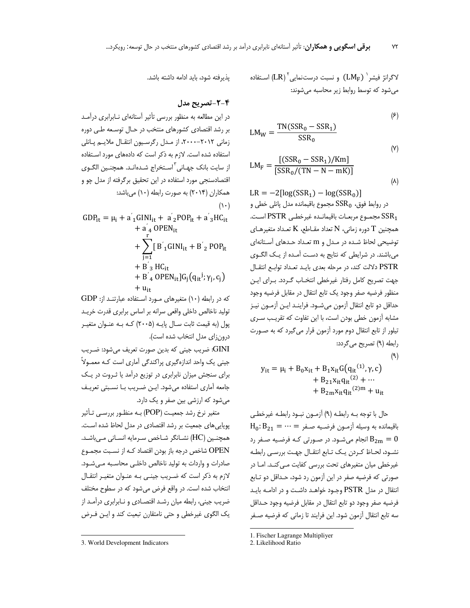استفاده ( $\text{LM}_{\text{F}}$ ) و نسبت درست $\text{LM}_{\text{F}}$ ) استفاده (LM $\text{F}$ می شود که توسط روابط زیر محاسبه می شوند:

 $(5)$ 

 $(Y)$ 

 $(\lambda)$ 

$$
LM_W = \frac{TN(SSR_0 - SSR_1)}{SSR_0}
$$

$$
LM_F = \frac{[(SSR_0 - SSR_1)/Km]}{[SSR_0/(TN - N - mK)]}
$$

 $LR = -2\left[\log(SSR_1) - \log(SSR_0)\right]$ در روابط فوق،  $\mathrm{SSR}_0$  مجموع باقیمانده مدل پانلی خطی و ست. SSR1 مجموع مربعات باقيمانـده غيرخطـي PSTR است. همچنین T دوره زمانی، N تعداد مقـاطع، K تعـداد متغیرهـای توضیحی لحاظ شده در مدل و m تعداد حدهای آستانهای می باشند. در شرایطی که نتایج به دست آمـده از یـک الگـوی PSTR دلالت كند، در مرحله بعدي بايـد تعـداد توابـع انتقـال جهت تصريح كامل رفتار غيرخطي انتخـاب گـردد. بـراي ايـن منظور فرضيه صفر وجود يک تابع انتقال در مقابل فرضيه وجود حداقل دو تابع انتقال آزمون میشود. فراینـد ایـن آزمـون نیـز مشابه آزمون خطی بودن است، با این تفاوت که تقریب سـری تیلور از تابع انتقال دوم مورد آزمون قرار می گیرد که به صــورت رابطه (۹) تصریح می گردد:  $(9)$ 

$$
y_{it} = \mu_i + B_0 x_{it} + B_1 x_{it} G(q_{it}^{(1)}, \gamma, c)
$$
  
+ 
$$
B_{21} x_{it} q_{it}^{(2)} + \cdots
$$
  
+ 
$$
B_{2m} x_{it} q_{it}^{(2)m} + u_{it}
$$

حال با توجه بـه رابطـه (٩) آزمـون نبـود رابطـه غيرخطـي  $H_0: B_{21} = \cdots = A_0$ باقیمانده به وسیله آزمـون فرضـیه صـفر انجام میشـود. در صـورتی کـه فرضـیه صـفر رد B $_{2\mathrm{m}}=0$ نشـود، لحـاظ كـردن يـك تـابع انتقـال جهـت بررسـى رابطـه غیرخطی میان متغیرهای تحت بررسی کفایت مـی کنـد. امـا در صورتی که فرضیه صفر در این آزمون رد شود، حـداقل دو تـابع انتقال در مدل PSTR وجــود خواهــد داشــت و در ادامــه بايــد فرضيه صفر وجود دو تابع انتقال در مقابل فرضيه وجود حـداقل سه تابع انتقال آزمون شود. این فرایند تا زمانی که فرضیه صـفر

يذيرفته شود، بايد ادامه داشته باشد.

### ۲-۲-تصریح مدل

در این مطالعه به منظور بررسی تأثیر آستانهای نـابرابری درآمـد بر رشد اقتصادی کشورهای منتخب در حـال توسـعه طـی دوره زمانی ٢٠١٢-٢٠٠٠، از مدل رگرسيون انتقال ملايم پانلي استفاده شده است. لازم به ذکر است که دادههای مورد استفاده از سایت بانک جهـانی<sup>۲</sup>اسـتخراج شـدهانـد. همچنـین الگــوی اقتصادسنجی مورد استفاده در این تحقیق برگرفته از مدل چو و همکاران (۲۰۱۴) به صورت رابطه (۱۰) میباشد:  $(1)$ 

$$
GDP_{it} = \mu_i + a'_{1}GINI_{it} + a'_{2}POP_{it} + a'_{3} HC_{it}
$$
  
+  $a'_{4}$  OPEN<sub>it</sub>  
+  $\sum_{j=1}^{r} [B'_{1}GINI_{it} + B'_{2} POP_{it}$   
+  $B'_{3}$  HC<sub>it</sub>  
+  $B'_{4}$  OPEN<sub>it</sub>] $G_j(q_{it}^j; \gamma_j, c_j)$   
+  $u_{it}$ 

که در رابطه (۱۰) متغیرهای مـورد اسـتفاده عبارتنـد از: GDP تولید ناخالص داخلی واقعی سرانه بر اساس برابری قدرت خریـد پول (به قیمت ثابت سـال پایـه (۲۰۰۵) کـه بـه عنـوان متغیـر درون زاي مدل انتخاب شده است).

GINI: ضريب جيني كه بدين صورت تعريف مي شود: ضـريب جینی یک واحد اندازهگیری پراکندگی آماری است کـه معمـولاً برای سنجش میزان نابرابری در توزیع درآمد یا ثـروت در یـک جامعه آماري استفاده مي شود. اين ضريب با نسبتي تعريف می شود که ارزشی بین صفر و یک دارد.

متغیر نرخ رشد جمعیت (POP) بـه منظـور بررسـی تـأثیر یوپایی های جمعیت بر رشد اقتصادی در مدل لحاظ شده است. همچنین (HC) نشـانگر شـاخص سـرمایه انسـانی مـی،باشـد. OPEN شاخص درجه باز بودن اقتصاد کـه از نسـبت مجمـوع صادرات و واردات به تولید ناخالص داخلی محاسـبه مـی شـود. لازم به ذکر است که ضـریب جینـی بـه عنـوان متغیـر انتقـال انتخاب شده است. در واقع فرض می شود که در سطوح مختلف ضریب جینی، رابطه میان رشـد اقتصـادی و نـابرابری درآمـد از یک الگوی غیرخطی و حتی نامتقارن تبعیت کند و ایـن فـرض  $Y\Upsilon$ 

<sup>1.</sup> Fischer Lagrange Multipliyer

<sup>2.</sup> Likelihood Ratio

<sup>3.</sup> World Development Indicators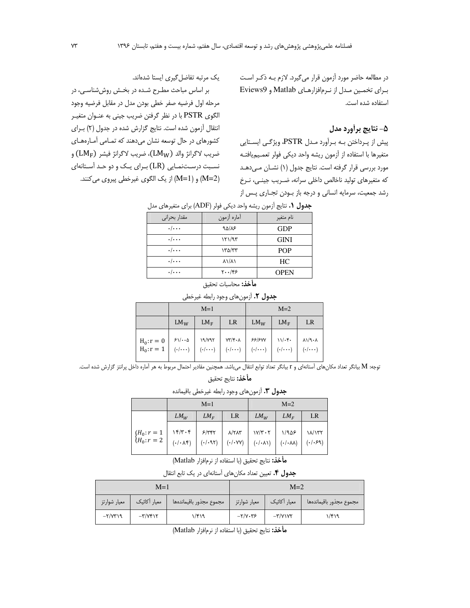در مطالعه حاضر مورد آزمون قرار می گیرد. لازم بـه ذکـر اسـت برای تخمین مدل از نرمافزارهای Matlab و Eviews9 استفاده شده است.

# ۵- نتایج برأورد مدل

پیش از پرداختن بـه بـرآورد مـدل PSTR، ویژگـی ایسـتایی متغيرها با استفاده از آزمون ريشه واحد ديكي فولر تعمـيميافتـه مورد بررسی قرار گرفته است. نتایج جدول (۱) نشان مهدهد كه متغيرهاي توليد ناخالص داخلي سرانه، ضـريب جينـي، نـرخ رشد جمعیت، سرمایه انسانی و درجه باز بودن تجـاری پـس از

یک مرتبه تفاضل گیری ایستا شدهاند.

بر اساس مباحث مطـرح شـده در بخـش روش شناسـی، در مرحله اول فرضيه صفر خطى بودن مدل در مقابل فرضيه وجود الگوي PSTR با در نظر گرفتن ضريب جيني به عنـوان متغيـر انتقال آزمون شده است. نتايج گزارش شده در جدول (٢) براى کشورهای در حال توسعه نشان می دهند که تمـامی آمـارههـای ضريب لاگرانژ والد (LMw)، ضريب لاگرانژ فيشر (LM<sub>F</sub>) و نسبت درستنمـایی (LR) بـرای یـک و دو حـد آسـتانهای (M=2) و (M=1) از یک الگوی غیرخطی پیروی میکنند.

| جعون ۰۱ سایج آرمون ریسه واحد دیجی قوتر ( ADF) برای متعیرهای مدل |                                   |             |  |  |  |
|-----------------------------------------------------------------|-----------------------------------|-------------|--|--|--|
| مقدار بحرانى                                                    | أماره أزمون                       | نام متغير   |  |  |  |
| $\cdot/\cdots$                                                  | 90/15                             | <b>GDP</b>  |  |  |  |
| $\cdot/\cdots$                                                  | ۱۲۱/۹۳                            | <b>GINI</b> |  |  |  |
| $\cdot/\cdot\cdot$                                              | ١٣۵/٣٣                            | <b>POP</b>  |  |  |  |
| $\cdot/\cdot\cdot$                                              | $\lambda \frac{\lambda}{\lambda}$ | HC.         |  |  |  |
| $\cdot/\cdots$                                                  | ۲۰۰/۴۶                            | <b>OPEN</b> |  |  |  |

حدول في نتايج أنوهن ريشه واحد دري فول (ADF) براي وتغييرهاي وبا

**مأخذ:** محاسبات تحقيق

#### جدول ٢. أزمون هاي وجود رابطه غيرخطي

|                                                                                                                                                                                                                                                                                                                                                                                                                                                               | $M=1$  |        |      | $M=2$  |        |    |
|---------------------------------------------------------------------------------------------------------------------------------------------------------------------------------------------------------------------------------------------------------------------------------------------------------------------------------------------------------------------------------------------------------------------------------------------------------------|--------|--------|------|--------|--------|----|
|                                                                                                                                                                                                                                                                                                                                                                                                                                                               | $LM_W$ | $LM_F$ | LR — | $LM_W$ | $LM_F$ | LR |
| $\left.\begin{array}{l c c c c c c c} \hline \textbf{H}_0:\textbf{r}=0 & \textbf{FV}\cdot\textbf{r} & \textbf{NVV} & \textbf{W/V+A} & \textbf{FV/F+A} & \textbf{FV/F+B} & \textbf{N/V+B} & \textbf{N/V+C} \\ \hline \textbf{H}_0:\textbf{r}=1 & (\cdot/\cdot\cdot\cdot) & (\cdot/\cdot\cdot\cdot) & (\cdot/\cdot\cdot\cdot) & (\cdot/\cdot\cdot\cdot) & (\cdot/\cdot\cdot\cdot\cdot) \\ \hline \end{array}\right  \begin{array}{l c c c c} \hline \textbf{X}$ |        |        |      |        |        |    |

توجه: M بيانگر تعداد مكان هاي آستانهاي و r بيانگر تعداد توابع انتقال مي،اشد. همچنين مقادير احتمال مربوط به هر آماره داخل پرانتز گزارش شده است.

**مأخذ:** نتايج تحقيق

جدول ٣. آزمونهاي وجود رابطه غيرخطي باقيمانده

|                             | $M=1$                                         |                            |                                                       | $M=2$                                                 |                                          |                      |
|-----------------------------|-----------------------------------------------|----------------------------|-------------------------------------------------------|-------------------------------------------------------|------------------------------------------|----------------------|
|                             | $LM_W$                                        | $LM_F$                     | <b>LR</b>                                             | $LM_W$                                                | $LM_F$                                   | LR                   |
| ${H_0: r = 1 \ H_0: r = 2}$ | 15/7.5<br>$(\cdot/\cdot \wedge \mathfrak{f})$ | 5/777<br>$(\cdot/\cdot91)$ | $\lambda$ /٢ $\lambda$ ۳<br>$(\cdot/\cdot \vee \vee)$ | $\frac{1}{\gamma + \gamma}$<br>$(\cdot/\cdot \wedge)$ | 1/909<br>$(\cdot/\cdot \lambda \lambda)$ | ١٨/١٣٢<br>$( -1.59)$ |

م**أخذ:** نتايج تحقيق (با استفاده از نرمافزار Matlab)

جدول ۴. تعیین تعداد مکان های آستانهای در یک تابع انتقال

| $M=1$        |                          |                         | $M=2$        |                          |                         |
|--------------|--------------------------|-------------------------|--------------|--------------------------|-------------------------|
| معيار شوارتز | معيار أكائيك             | مجموع مجذور باقيماندهها | معيار شوارتز | معيار أكائيك             | مجموع مجذور باقيماندهها |
| $-7/77$      | $-\mathbf{r}/\mathbf{v}$ | ۱/۴۱۹                   | $-Y/Y - YZ$  | $-\mathbf{Y}/\mathbf{Y}$ | ۱/۴۱۹                   |

**مأخذ:** نتايج تحقيق (با استفاده از نرمافزار Matlab)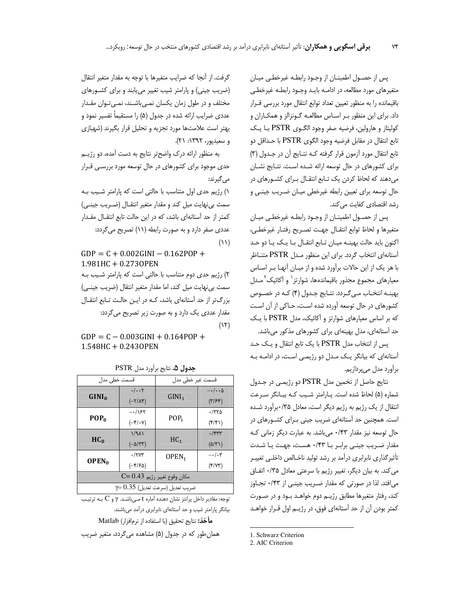پس از حصـول اطمینـان از وجـود رابطـه غیرخطـی میـان متغیرهای مورد مطالعه، در ادامـه بایـد وجـود رابطـه غیرخطـی باقیمانده را به منظور تعیین تعداد توابع انتقال مورد بررسی قـرار داد. برای این منظور بـر اسـاس مطالعـه گـونزالز و همکـاران و كوليتاز و هارولين، فرضيه صفر وجود الكوى PSTR با يك تابع انتقال در مقابل فرضيه وجود الگوى PSTR با حـداقل دو تابع انتقال مورد آزمون قرار گرفته کـه نتـایج آن در جـدول (۳) برای کشورهای در حال توسعه ارائه شده است. نتـایج نشـان میدهند که لحاظ کردن یک تـابع انتقـال بـرای کشـورهای در حال توسعه برای تعیین رابطه غیرخطی میـان ضـریب جینـی و رشد اقتصادی کفایت می کند.

پس از حصـول اطمینــان از وجـود رابطـه غیرخطـی میـان متغيرها ولحاظ توابع انتقـال جهـت تصـريح رفتـار غيرخطـى، اکنون باید حالت بهینـه میـان تـابع انتقـال بـا یـک یـا دو حـد آستانهای انتخاب گردد. برای این منظور مـدل PSTR متنـاظر با هر یک از این حالات برآورد شده و از میـان آنهـا بـر اسـاس معیارهای مجموع مجذور باقیماندهها، شوارتز` و آکائیک ً مـدل بهینـه انتخـاب مـی گـردد. نتـایج جـدول (۴) کـه در خصـوص کشورهای در حال توسعه آورده شده است، حـاکی از آن اسـت که بر اساس معیارهای شوارتز و آکائیک، مدل PSTR با یک حد آستانهای، مدل بهینهای برای کشورهای مذکور میباشد.

يس از انتخاب مدل PSTR با يک تابع انتقال و يـک حـد آستانهای که بیانگر یک مدل دو رژیمی است، در ادامه به برآورد مدل ميپردازيم.

نتايج حاصل از تخمين مدل PSTR دو رژيمي در جـدول شماره (۵) لحاظ شده است. پـارامتر شـيب كـه بيـانگر سـرعت انتقال از یک رژیم به رژیم دیگر است، معادل ۰/۳۵برآورد شده است. همچنین حد آستانهای ضریب جینی بـرای کشـورهای در حال توسعه نیز مقدار ۰/۴۳ میباشد. به عبارت دیگر زمانی ک مقدار ضریب جینی برابر با ۰/۴۳ هست، جهت یا شدت تأثیرگذاری نابرابری درآمد بر رشد تولید ناخالص داخلبی تغییـر می کند. به بیان دیگر، تغییر رژیم با سرعتی معادل ۰/۳۵ اتفاق می|فتد. لذا در صورتی که مقدار ضـریب جینـی از ۰/۴۳ تجـاوز کند، رفتار متغیرها مطابق رژیـم دوم خواهـد بـود و در صـورت کمتر بودن آن از حد آستانهای فوق، در رژیـم اول قــرار خواهــد

1. Schwarz Criterion

2. AIC Criterion

گرفت. از آنجا که ضرایب متغیرها با توجه به مقدار متغیر انتقال (ضریب جینی) و پارامتر شیب تغییر می پابند و برای کشورهای مختلف و در طول زمان یکسان نمبی باشیند، نمبی تبوان مقیدار عددی ضرایب ارائه شده در جدول (۵) را مستقیماً تفسیر نمود و بهتر است علامتها مورد تجزيه و تحليل قرار بگيرند (شهبازى و سعيديور، ١٣٩٢: ٢١).

به منظور ارائه درک واضحتر نتایج به دست آمده، دو رژیهی حدی موجود برای کشورهای در حال توسعه مورد بررسـی قــرار می گیرند:

١) رژيم حدى اول متناسب با حالتي است كه پارامتر شيب بـه سمت بی نهایت میل کند و مقدار متغیر انتقـال (ضـریب جینـی) کمتر از حد آستانهای باشد، که در این حالت تابع انتقـال مقـدار عددی صفر دارد و به صورت رابطه (۱۱) تصریح می گردد:  $(11)$ 

 $GDP = C + 0.002GINI - 0.162POP +$  $1.981$ HC + 0.2730PEN ٢) رژيم حدي دوم متناسب با حالتي است كه پارامتر شـيب بـه سمت بی نهایت میل کند، اما مقدار متغیر انتقال (ضریب جینبی) بزرگتر از حد آستانهای باشد، کـه در ایـن حالـت تـابع انتقـال مقدار عددی یک دارد و به صورت زیر تصریح می گردد:  $(15)$ 

 $GDP = C - 0.003GINI + 0.164POP +$  $1.548$ HC + 0.2430PEN

| قسمت خطی مدل                          |                                      | قسمت غیر خطی مدل  |                               |  |  |
|---------------------------------------|--------------------------------------|-------------------|-------------------------------|--|--|
|                                       | $\cdot/\cdot\cdot$ ۲                 |                   | $-\cdot/\cdot\cdot\Delta$     |  |  |
| GINI <sub>0</sub>                     | $(-\gamma/\lambda)^s$                | GINI <sub>1</sub> | $(\tilde{r}/\tilde{r})$       |  |  |
| $POP_0$                               | $-158$                               |                   | $\cdot$ /۳۲۵                  |  |  |
|                                       | $(-\mathbf{Y}/\mathbf{Y})$           | POP <sub>1</sub>  | $(\mathfrak{f}/\mathfrak{f})$ |  |  |
| HC <sub>0</sub>                       | $1/9\lambda$                         |                   | $\cdot$ /۴۳۳                  |  |  |
|                                       | $(-\Delta/\Upsilon\Upsilon)$         | HC <sub>1</sub>   | $(\Delta/\Upsilon')$          |  |  |
| OPEN <sub>0</sub>                     | $\cdot$ /۲۷۳                         | OPEN <sub>1</sub> | $-\cdot/\cdot 7$              |  |  |
|                                       | $(-\mathfrak{f}/\mathfrak{F}\Delta)$ |                   | (Y/YY)                        |  |  |
| مكان وقوع تغيير رژيم C= 0.43          |                                      |                   |                               |  |  |
| $\gamma$ = $0.35$ (صرعت تعدیل (صرعت ا |                                      |                   |                               |  |  |

جدول ۵. نتايج برآورد مدل PSTR

توجه: مقادیر داخل پرانتز نشان دهنده آماره t مـیباشـد.  $\gamma$  و C بـه ترتیـب بیانگر پارامتر شیب و حد آستانهای نابرابری درآمد میباشند. **مأخذ:** نتايج تحقيق (با استفاده از نرمافزار) Matlab

همان طور که در جدول (۵) مشاهده می گردد، متغیر ضریب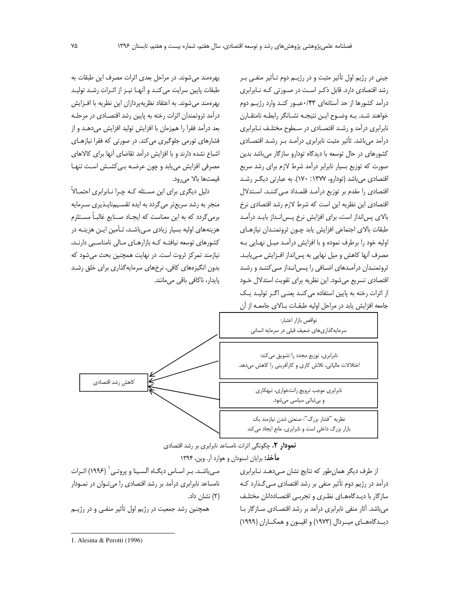جيني در رژيم اول تأثير مثبت و در رژيــم دوم تـأثير منفــي بــر رشد اقتصادی دارد. قابل ذک راست در صورتی کـه نـابرابری درآمد کشورها از حد آستانهای ۰/۴۳ عبور کنـد وارد رژیـم دوم خواهند شـد. بـه وضـوح ايـن نتيجـه نشـانگر رابطـه نامتقـارن نابرابری درآمد و رشد اقتصادی در سطوح مختلف نـابرابری درآمد می باشد. تأثیر مثبت نابرابری درآمـد بـر رشـد اقتصـادی کشورهای در حال توسعه با دیدگاه تودارو سازگار می باشد بدین صورت که توزیع بسیار نابرابر درآمد شرط لازم برای رشد سریع اقتصادي مي باشد (تودارو، ١٣٧٧: ١٧٠). به عبارتي ديگر رشد اقتصادی را مقدم بر توزیع درآمـد قلمـداد مـی کننـد. اسـتدلال اقتصادی این نظریه این است که شرط لازم رشد اقتصادی نرخ بالای پس انداز است، برای افزایش نرخ پس انـداز بایـد درآمـد طبقات بالاى اجتماعى افزايش يابد چون ثروتمندان نيازهاى اوليه خود را برطرف نموده و با افزايش درآمـد ميـل نهـايي بـه مصرف آنها كاهش و ميل نهايي به پسانداز افـزايش مـىيابـد. ثروتمندان درآمدهای اضافی را پس انداز می کنند و رشد اقتصادی تسریع میشود. این نظریه برای تقویت استدلال خـود از اثرات رخنه به پایین استفاده می کند یعنی اگر تولید یک جامعه افزایش یابد در مراحل اولیه طبقـات بـالای جامعــه از آن

بهرهمند می شوند. در مراحل بعدی اثرات مصرف این طبقات به طبقات پایین سرایت می کنـد و آنهـا نیـز از اثـرات رشـد تولیـد بهرهمند می شوند. به اعتقاد نظریه پردازان این نظریه با افـزایش درآمد ثروتمندان اثرات رخنه به پایین رشد اقتصـادی در مرحلـه بعد درآمد فقرا را همزمان با افزایش تولید افزایش میدهـد و از فشارهای تورمی جلوگیری می کند. در صورتی که فقرا نیازهـای اشباع نشده دارند و با افزایش درآمد تقاضای آنها برای کالاهای مصرفی افزایش می یابد و چون عرضه بهی کشش است تنها قيمتها بالا مي رود.

دلیل دیگری برای این مسئله کـه چـرا نــابرابری احتمــالاً منجر به رشد سریعتر می گردد به ایده تقسیمناپلذیری سرمایه برمی گردد که به این معناست که ایجـاد صـنایع غالبـاً مسـتلزم هزینههای اولیه بسیار زیادی مهیباشد، تأمین این هزینـه در کشورهای توسعه نیافتـه کـه بازارهـای مـالی نامناسـبی دارنـد، نیازمند تمرکز ثروت است. در نهایت همچنین بحث می شود که بدون انگیزههای کافی، نرخهای سرمایهگذاری برای خلق رشد پایدار، ناکافی باقی میمانند.



نمودار ۲. چگونگی اثرات نامساعد نابرابری بر رشد اقتصادی

**مأخذ:** برایان اسنودان و هوارد آر. وین، ۱۳۹۴

از طرف دیگر همان طور که نتایج نشان مهدهد نابرابری درآمد در رژیم دوم تأثیر منفی بر رشد اقتصادی مـی٤کـذارد کـه سازگار با دیـدگاههـای نظـری و تجربـی اقتصـاددانان مختلـف میباشد. آثار منفی نابرابری درآمد بر رشد اقتصادی سازگار با دیــدگاههــای میــردال (۱۹۷۳) و اقیــون و همکــاران (۱۹۹۹)

مـیباشـد. بـر اسـاس دیگـاه آلسـینا و پروتـی` (۱۹۹۶) اثـرات نامساعد نابرابری درآمد بر رشد اقتصادی را میتوان در نمودار (۲) نشان داد.

همچنین رشد جمعیت در رژیم اول تأثیر منفـی و در رژیـم

<sup>1.</sup> Alesina & Perotti (1996)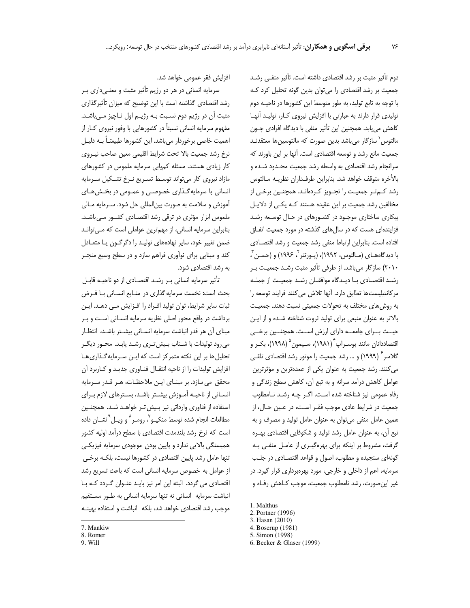دوم تأثیر مثبت بر رشد اقتصادی داشته است. تأثیر منفـی رشـد جمعیت بر رشد اقتصادی را می توان بدین گونه تحلیل کرد ک با توجه به تابع تولید، به طور متوسط این کشورها در ناحیـه دوم تولیدی قرار دارند به عبارتی با افزایش نیروی کار، تولید آنها كاهش مىيابد. همچنين اين تأثير منفى با ديدگاه افرادى چـون مالتوس ٰ سازگار می باشد بدین صورت که مالتوسین ها معتقدنـد جمعیت مانع رشد و توسعه اقتصادی است. آنها بر این باورند که سرانجام رشد اقتصادی به واسطه رشد جمعیت محـدود شـده و بالأخره متوقف خواهد شد. بنابراين طرفـداران نظريـه مـالتوس رشد کـمتـر جمعيـت را تجـويز کـردهانـد. همچنـين برخـي از مخالفین رشد جمعیت بر این عقیده هستند کـه یکـی از دلایـل بیکاری ساختاری موجود در کشورهای در حال توسعه رشد فزایندهای هست که در سالهای گذشته در مورد جمعیت اتفاق افتاده است. بنابراین ارتباط منفی رشد جمعیت و رشد اقتصادی با دیدگاههـای (مـالتوس، ۱۹۹۲)، (پـورتنر<sup>۲</sup>، ۱۹۹۶) و (حسـن <sup>۳</sup>، ۲۰۱۰) سازگار میباشد. از طرفی تأثیر مثبت رشد جمعیت بـر رشـد اقتصـادی بـا دیـدگاه موافقـان رشـد جمعیـت از جملـه مركانتيليستها تطابق دارد. آنها تلاش مي كنند فرايند توسعه را به روشهای مختلف به تحولات جمعیتی نسبت دهند. جمعیت بالاتر به عنوان منبعى براى توليد ثروت شناخته شده و از اين حیــث بــرای جامعــه دارای ارزش اســت. همچنــین برخــی اقتصاددانان مانند بوسـراپ<sup>۴</sup> (۱۹۸۱)، سـيمون<sup>۵</sup> (۱۹۹۸)، بكـر و گلاسر<sup>۶</sup> (۱۹۹۹) و … رشد جمعیت را موتور رشد اقتصاد*ی* تلقـی می کنند. رشد جمعیت به عنوان یکی از عمدهترین و مؤثرترین عوامل كاهش درآمد سرانه و به تبع آن، كاهش سطح زندگی و رفاه عمومی نیز شناخته شده است. اگر چه رشد نامطلوب جمعیت در شرایط عادی موجب فقـر اسـت، در عـین حـال، از همین عامل منفی می توان به عنوان عامل تولید و مصرف و به تبع آن، به عنوان عامل رشد توليد و شكوفايي اقتصادي بهـره گرفت، مشروط بر اینکه برای بهرهگیـری از عامـل منفـی بـه گونهای سنجیده و مطلوب، اصول و قواعد اقتصادی در جلب سرمایه، اعم از داخلی و خارجی، مورد بهرهبرداری قرار گیرد. در غیر این صورت، رشد نامطلوب جمعیت، موجب کـاهش رفـاه و

افزایش فقر عمومی خواهد شد.

سرمایه انسانی در هر دو رژیم تأثیر مثبت و معنـیداری بـر رشد اقتصادی گذاشته است با این توضیح که میزان تأثیرگذاری مثبت آن در رژیم دوم نسـبت بـه رژیـم اول نـاچیز مـی باشـد. مفهوم سرمایه انسانی نسبتاً در کشورهایی با وفور نیروی کـار از اهمیت خاصی برخوردار می باشد. این کشورها طبیعتـاً بـه دلیـل نرخ رشد جمعیت بالا تحت شرایط اقلیمی معین صاحب نیـروی کار زیادی هستند. مسئله کمپابی سرمایه ملموس در کشورهای مازاد نیروی کار میتواند توسط تسریع نـرخ تشـکیل سـرمایه انسانی با سرمایه گـذاری خصوصـی و عمـومی در بخـش۵هـای آموزش و سلامت به صورت بين|لمللي حل شود. سـرمايه مـالي ملموس ابزار مؤثری در ترقی رشد اقتصـادی کشـور مـی باشـد. بنابراین سرمایه انسانی، از مهمترین عواملی است که میتواند ضمن تغییر خود، سایر نهادههای تولیـد را دگرگـون یـا متعـادل کند و مبنایی برای نوآوری فراهم سازد و در سطح وسیع منجـر به رشد اقتصادی شود.

تأثیر سرمایه انسانی بـر رشـد اقتصـادی از دو ناحیـه قابـل بحث است: نخست سرمايه گذاري در منـابع انسـاني بـا فـرض ثبات سایر شرایط، توان تولید افراد را افزایش می دهـد. ایـن برداشت در واقع محور اصلی نظریه سرمایه انسـانی اسـت و بـر مبنای آن هر قدر انباشت سرمایه انسانی بیشتر باشد، انتظار می رود تولیدات با شتاب بیش تری رشد یابد. محـور دیگـر تحلیل ها بر این نکته متمرکز است که این سرمایه گذاری ها افزایش تولیدات را از ناحیه انتقال فناوری جدید و کاربرد آن محقق می سازد. بر مبنای این ملاحظات، هـر قـدر سـرمایه انسانی از ناحیه آموزش بیشتر باشد، بسترهای لازم برای استفاده از فناوري وارداتي نيز بيش تر خواهـد شـد. همچنـين مطالعات انجام شده توسط منكيـو ٌ، رومـر ٌ و ويـل ْ نشــان داده است که نرخ رشد بلندمدت اقتصادی با سطح درآمد اولیه کشور همبستگی بالایی ندارد و پایین بودن موجودی سرمایه فیزیکی تنها عامل رشد پایین اقتصادی در کشورها نیست، بلکـه برخـی از عوامل به خصوص سرمایه انسانی است که باعث تسریع رشد اقتصادی می گردد. البته این امر نیز بایـد عنـوان گـردد کـه بـا انباشت سرمايه انساني نه تنها سرمايه انساني به طـور مسـتقيم موجب رشد اقتصادى خواهد شد، بلكه لنباشت و استفاده بهينـه

<sup>1.</sup> Malthus

<sup>2.</sup> Portner (1996)

<sup>3.</sup> Hasan (2010)

<sup>4.</sup> Boserup (1981)

<sup>5.</sup> Simon (1998)

<sup>6.</sup> Becker & Glaser (1999)

<sup>7.</sup> Mankiw

<sup>8.</sup> Romer

<sup>9.</sup> Will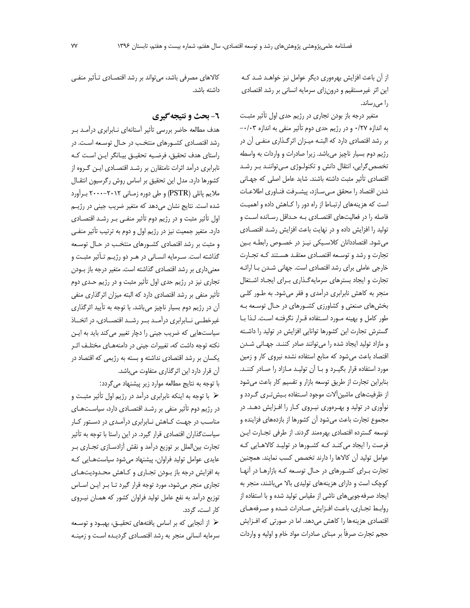از آن باعث افزایش بهرهوری دیگر عوامل نیز خواهـد شـد کـه این اثر غیرمستقیم و درونزای سرمایه انسانی بر رشد اقتصادی را می رساند.

متغیر درجه باز بودن تجاری در رژیم حدی اول تأثیر مثبت به اندازه ۰/۲۷ و در رژيم حدي دوم تأثير منفي به اندازه ۰/۰۳-بر رشد اقتصادی دارد که البتـه میـزان اثرگـذاری منفـی آن در رژیم دوم بسیار ناچیز میباشد. زیرا صادرات و واردات به واسطه تخصص گرایی، انتقال دانش و تکنولوژی میتوانند بر رشد اقتصادی تأثیر مثبت داشته باشند. شاید عامل اصلی که جهانی شدن اقتصاد را محقق مے سازد، پیشـرفت فنـاوری اطلاعـات است که هزینههای ارتباط از راه دور را کاهش داده و اهمیت فاصله را در فعالیتهای اقتصـادی بـه حـداقل رسـانده اسـت و تولید را افزایش داده و در نهایت باعث افزایش رشد اقتصادی می شود. اقتصاددانان کلاسیکی نیـز در خصـوص رابطـه بـین تجارت و رشد و توسعه اقتصادي معتقد هستند كـه تجـارت خارجی عاملی برای رشد اقتصادی است. جهانی شدن با ارائه تجارت و ایجاد بسترهای سرمایه گذاری برای ایجاد اشتغال منجر به کاهش نابرابری درآمدی و فقر میشود. به طـور کلـی بخش های صنعتی و کشاورزی کشورهای در حال توسعه به طور كامل و بهينه مورد استفاده قرار نگرفته است. لذا با گسترش تجارت این کشورها توانایی افزایش در تولید را داشته و مازاد تولید ایجاد شده را میتوانند صادر کنند. جهانی شدن اقتصاد باعث می شود که منابع استفاده نشده نیروی کار و زمین مورد استفاده قرار بگیـرد و بـا آن تولیـد مـازاد را صـادر کننـد. بنابراین تجارت از طریق توسعه بازار و تقسیم کار باعث میشود از ظرفیتهای ماشین آلات موجود استفاده بیش تری گردد و نوآوری در تولید و بهـرهوری نیـروی کـار را افـزایش دهـد. در مجموع تجارت باعث میشود آن کشورها از بازدههای فزاینده و توسعه گسترده اقتصادى بهرهمند گردند. از طرفى تجـارت ايـن فرصت را ایجاد می کنـد کـه کشـورها در تولیـد کالاهـایی کـه عوامل تولید آن کالاها را دارند تخصص کسب نمایند. همچنین تجارت برای کشورهای در حال توسعه که بازارها در آنها کوچک است و دارای هزینههای تولیدی بالا میباشند، منجر به ایجاد صرفه جویی های ناشی از مقیاس تولید شده و با استفاده از روابط تجارى، باعث افزايش صادرات شده وصرفههاى اقتصادی هزینهها را کاهش میدهد. اما در صورتی که افـزایش حجم تجارت صرفاً بر مبناي صادرات مواد خام و اوليه و واردات

كالاهاي مصرفي باشد، مي تواند بر رشد اقتصـادي تـأثير منفـي داشته ىاشد.

## **٦- بحث و نتیجه گیری**

هدف مطالعه حاضر بررسی تأثیر أستانهای نـابرابری درآمـد بـر رشد اقتصـادی کشـورهای منتخـب در حـال توسـعه اسـت. در راستای هدف تحقیق، فرضیه تحقیـق بیـانگر ایـن اسـت کـه نابرابری درآمد اثرات نامتقان بر رشـد اقتصـادی ایـن گـروه از كشورها دارد. مدل اين تحقيق بر اساس روش رگرسيون انتقـال ملايم پانلي (PSTR) و طي دوره زمـاني ٢٠١٢-٢٠٠٠ بـرأورد شده است. نتایج نشان میدهد که متغیر ضریب جینی در رژیـم اول تأثیر مثبت و در رژیم دوم تأثیر منفی بـر رشـد اقتصـادی دارد. متغیر جمعیت نیز در رژیم اول و دوم به ترتیب تأثیر منفی و مثبت بر رشد اقتصادی کشورهای منتخب در حال توسعه گذاشته است. سـرمايه انسـاني در هـر دو رژيـم تـأثير مثبـت و معنیداری بر رشد اقتصادی گذاشته است. متغیر درجه باز بودن تجاری نیز در رژیم حدی اول تأثیر مثبت و در رژیم حـدی دوم تأثیر منفی بر رشد اقتصادی دارد که البته میزان اثرگذاری منفی آن در رژیم دوم بسیار ناچیز میباشد. با توجه به تأیید اثرگذاری غیرخطمی نابرابری درآمد بر رشد اقتصادی، در اتخاذ سیاستهایی که ضریب جینی را دچار تغییر می کند باید به ایـن نکته توجه داشت که، تغییرات جینی در دامنههـای مختلـف اثـر یکسان بر رشد اقتصادی نداشته و بسته به رژیمی که اقتصاد در آن قرار دارد این اثرگذاری متفاوت میباشد.

با توجه به نتایج مطالعه موارد زیر پیشنهاد میگردد:

﴿ با توجه به اینکه نابرابری درآمد در رژیم اول تأثیر مثبت و در رژیم دوم تأثیر منفی بر رشد اقتصادی دارد، سیاستهای مناسب در جهت كاهش نابرابرى درآمدى در دستور كار سیاست گذاران اقتصادی قرار گیرد. در این راستا با توجه به تأثیر تجارت بین الملل بر توزیع درآمد و نقش آزادسازی تجاری ب عایدی عوامل تولید فراوان، پیشنهاد می شود سیاستهایی که به افزایش درجه باز بودن تجاری و کاهش محدودیتهای تجاری منجر میشود، مورد توجه قرار گیرد تـا بـر ایـن اسـاس توزیع درآمد به نفع عامل تولید فراوان کشور که همـان نیـروی کار است، گردد.

﴿ از آنجایی که بر اساس یافتههای تحقیـق، بهبـود و توسـعه سرمایه انسانی منجر به رشد اقتصادی گردیده است و زمینه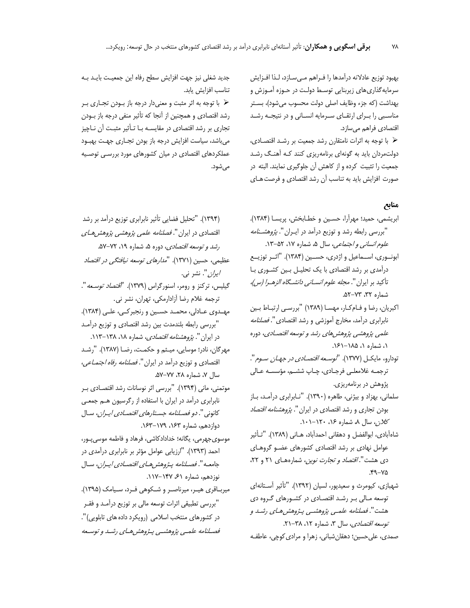بهبود توزيع عادلانه درآمدها را فـراهم مـىسـازد، لـذا افـزايش سرمایه گذاری های زیربنایی توسـط دولـت در حـوزه آمـوزش و بهداشت (كه جزء وظايف اصلى دولت محسوب مي شود)، بستر مناسبی را بـرای ارتقـای سـرمایه انسـانی و در نتیجـه رشـد اقتصادي فراهم ميسازد.

﴿ با توجه به اثرات نامتقارن رشد جمعیت بر رشـد اقتصـادی، دولتمردان باید به گونهای برنامهریزی کنند کـه آهنـگ رشـد جمعیت را تثبیت کرده و از کاهش آن جلوگیری نمایند. البته در صورت افزایش باید به تناسب آن رشد اقتصادی و فرصت هـای

## منابع

- ابريشمي، حميد؛ مهراًرا، حسـين و خطـابخش، پريسـا (١٣٨۴). "بررسی رابطه رشد و توزیع درآمد در ایــران ". *پژوهشــنامه* علوم *انسانی و اجتماعی*، سال ۵، شماره ۰۱۷، ۵۲-۱۳.
- ابونوري، اســماعيل و اژدري، حســين (١٣٨۴). "اثــر توزيــع درآمدی بر رشد اقتصادی با یک تحلیـل بـین کشـوری بـا تأكيد بر ايران ". *مجله علوم انســاني دانشــگاه الزهــرا (س)،* شماره ٣٢، ٥٢-٥٢.
- اكبريان، رضا و فـام كـار، مهسـا (١٣٨٩) "بررسـى ارتبـاط بـين نابرابری درآمد، مخارج آموزشی و رشد اقتصادی". *فصلنامه* علمی پژوهشی پژوهش های رشد و توسعه اقتصادی، دوره ۱، شماره ۱، ۱۸۵–۱۶۱.
- تودارو، مایکـل (۱۳۷۷). "*توسـعه اقتصـادي در جهـان سـوم*". ترجمـه غلامعلـى فرجـادى، چـاپ ششـم، مؤسسـه عـالى پژوهش در برنامهریزی.
- سلمانی، بهزاد و بیژنی، طاهره (۱۳۹۰). "نـابرابری درآمـد، بـاز بودن تجاری و رشد اقتصادی در ایران ". *پژوهشنامه اقتصاد* کلان، سال ۸، شماره ۱۶، ۱۲۰–۱۰۱.
- شاهآبادی، ابوالفضل و دهقانی احمدآباد، هــانی (۱۳۸۹). "تــأثير عوامل نهادی بر رشد اقتصادی کشورهای عضو گروهـای دی هشت". *اقتصاد و تجارت نوین،* شمارههای ۲۱ و ۲۲،  $Y - PY$
- شهبازی، کیومرث و سعیدپور، لسیان (۱۳۹۲). "تأثیر آستانهای توسعه مالی بر رشد اقتصادی در کشورهای گروه دی هشت". فصلنامه علمـي پژوهشـي پـژوهش هـاي رشـد و توسعه اقتصادى، سال ٣، شماره ١٢، ٣٨-٢١.

صمدی، علی حسین؛ دهقان شبانی، زهرا و مرادی کوچی، عاطفـه

جدید شغلی نیز جهت افزایش سطح رفاه این جمعیت بایـد بـه تناسب افزايش يابد.

با توجه به اثر مثبت و معنیدار درجه باز بـودن تجـاری بـر  $\triangleright$ رشد اقتصادی و همچنین از آنجا که تأثیر منفی درجه باز بـودن تجاری بر رشد اقتصادی در مقایسـه بـا تـأثیر مثبـت آن نـاچیز می باشد، سیاست افزایش درجه باز بودن تجـاری جهـت بهبـود عملکردهای اقتصادی در میان کشورهای مورد بررسـی توصـیه می شود.

- (۱۳۹۴). "تحلیل فضایی تأثیر نابرابری توزیع درآمد بر رشد اقتصادی در ایران". *فصلنامه علمی پژوهشی پژوهشهای* ر*شد و توسعه اقتصادی،* دوره ۵، شماره ۱۹، ۷۲–۵۷. عظیمی، حسین (۱۳۷۱). "*مدارهای توسعه نیافتگی در اقتصاد*
- *ايران*". نشر ني. گیلیس، ترکنز و رومر، اسنورگراس (۱۳۷۹). *"اقتصاد توسـعه*". ترجمه غلام رضا آزادارمکی، تهران، نشر نی.
- مهـدوي عــادلي، محمــد حســين و رنجبركــي، علــي (١٣٨۴). "بررسي رابطه بلندمدت بين رشد اقتصادي و توزيع درآمـد در ایران". *پژوهشنامه اقتصادی*، شماره ۱۸، ۱۳۸-۱۱۳.
- مهرگان، نادر؛ موسایی، میشم و حکمت، رضــا (۱۳۸۷). "رشــد اقتصادی و توزیع درآمد در ایران ". *فصلنامه رفاه اجتمـاعی*، سال ٧، شماره ٢٨، ٧٧-٥٧.
- موتمنی، مانی (۱۳۹۴). "بررسی اثر نوسانات رشد اقتصـادی بـر نابرابری درآمد در ایران با استفاده از رگرسیون هم جمعی کانونی". *دو فصلنامه جستارهای اقتصادی ایـران*، سـال دوازدهم، شماره ۱۶۳-۱۶۳-۱۶۳.
- موسوى جهرمى، يگانه؛ خدادادكاشى، فرهاد و فاطمه موسى پور، احمد (١٣٩٣). "ارزيابي عوامل مؤثر بر نابرابري درآمدي در جامعــه". *فصــلنامه پــژوهش هــاي اقتصــادي ايــران*، ســال نوزدهم، شماره ۶۱، ۱۴۷–۱۱۷.
- میرباقری هیـر، میرناصـر و شـكوهی فـرد، سـيامك (١٣٩۵). "بررسي تطبيقي اثرات توسعه مالي بر توزيع درآمـد و فقــر در كشورهاى منتخب اسلامى (رويكرد داده هاى تابلويى)". فصلنامه علمـى پژوهشــى پـژوهش هـاى رشـد و توسـعه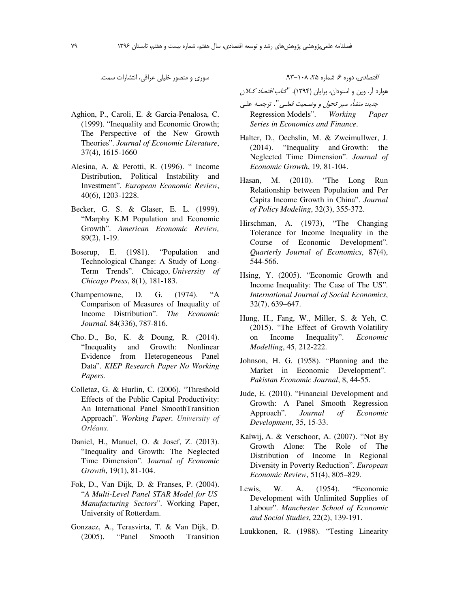سوری و منصور خلیلی عراقی، انتشارات سمت.

- Aghion, P., Caroli, E. & Garcia-Penalosa, C. (1999). "Inequality and Economic Growth; The Perspective of the New Growth Theories". *Journal of Economic Literature*, 37(4), 1615-1660
- Alesina, A. & Perotti, R. (1996). " Income Distribution, Political Instability and Investment". *European Economic Review*, 40(6), 1203-1228.
- Becker, G. S. & Glaser, E. L. (1999). "Marphy K.M Population and Economic Growth". *American Economic Review,* 89(2), 1-19.
- Boserup, E. (1981). "Population and Technological Change: A Study of Long-Term Trends". Chicago, *University of Chicago Press*, 8(1), 181-183.
- Champernowne, D. G. (1974). "A Comparison of Measures of Inequality of Income Distribution". *The Economic Journal.* 84(336), 787-816.
- Cho. D., Bo, K. & Doung, R. (2014). "Inequality and Growth: Nonlinear Evidence from Heterogeneous Panel Data". *KIEP Research Paper No Working Papers.*
- Colletaz, G. & Hurlin, C. (2006). "Threshold Effects of the Public Capital Productivity: An International Panel SmoothTransition Approach". *Working Paper. University of Orléans.*
- Daniel, H., Manuel, O. & Josef, Z. (2013). "Inequality and Growth: The Neglected Time Dimension". J*ournal of Economic Growth*, 19(1), 81-104.
- Fok, D., Van Dijk, D. & Franses, P. (2004). "*A Multi-Level Panel STAR Model for US Manufacturing Sectors*". Working Paper, University of Rotterdam.
- Gonzaez, A., Terasvirta, T. & Van Dijk, D. (2005). "Panel Smooth Transition

/قتص*ادی، دوره ۶، شماره ۲۵، ۱۰۸–۹۳.* 

هوارد آر. وین و اسنودان، برایان (۱۳۹۴). "*کتاب اقتصاد کلان* ج*ديد: منشأ، سير تحول و وضـعيت فعلـي*". ترجمـه علـي Regression Models". *Working Paper* 

*Series in Economics and Finance*.

- Halter, D., Oechslin, M. & Zweimullwer, J. (2014). "Inequality and Growth: the Neglected Time Dimension". *Journal of Economic Growth*, 19, 81-104.
- Hasan, M. (2010). "The Long Run Relationship between Population and Per Capita Income Growth in China". *Journal of Policy Modeling*, 32(3), 355-372.
- Hirschman, A. (1973), "The Changing Tolerance for Income Inequality in the Course of Economic Development". *Quarterly Journal of Economics*, 87(4), 544-566.
- Hsing, Y. (2005). "Economic Growth and Income Inequality: The Case of The US". *International Journal of Social Economics*, 32(7), 639–647.
- Hung, H., Fang, W., Miller, S. & Yeh, C. (2015). "The Effect of Growth Volatility on Income Inequality". *Economic Modelling*, 45, 212-222.
- Johnson, H. G. (1958). "Planning and the Market in Economic Development". *Pakistan Economic Journal*, 8, 44-55.
- Jude, E. (2010). "Financial Development and Growth: A Panel Smooth Regression Approach". *Journal of Economic Development*, 35, 15-33.
- Kalwij, A. & Verschoor, A. (2007). "Not By Growth Alone: The Role of The Distribution of Income In Regional Diversity in Poverty Reduction". *European Economic Review*, 51(4), 805–829.
- Lewis, W. A. (1954). "Economic Development with Unlimited Supplies of Labour". *Manchester School of Economic and Social Studies*, 22(2), 139-191.

Luukkonen, R. (1988). "Testing Linearity